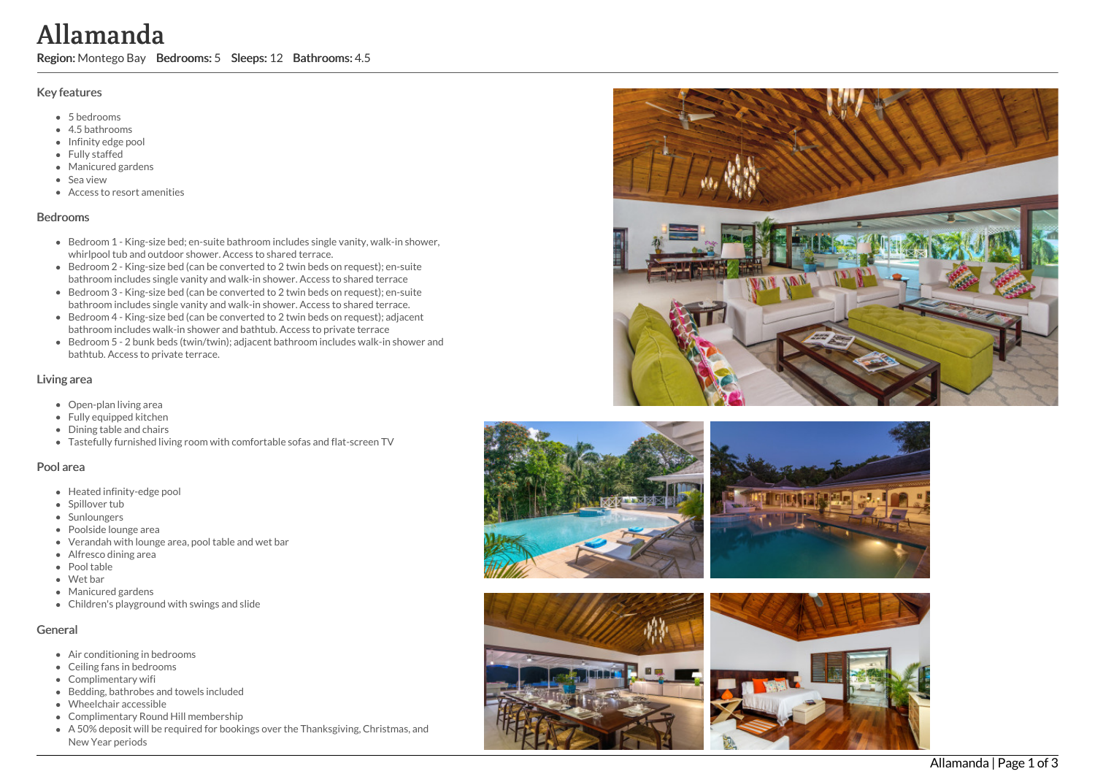### Key features

- 5 b e d r o o m s
- 4.5 b a t h r o o m s
- Infinity edge po ol
- Fully staffed
- Manicured garde n s
- S e a vie w
- Access to resort amenities

### **Bedrooms**

- Bedroom 1 King-size bed; en-suite bathroom includes single vanity, walk-in shower, whirlpool tub and outdoor shower. Access to shared terrace. **Allamanda Region:** Substrates Allamanda Region: Seeps: 12 Bathrooms: 4.5<br>
Key features<br>
• 5 bedrooms<br>
• 4 bedrooms<br>
• 1 minutered grades<br>
• Minutered grades<br>
• Minutered grades<br>
• Microsoft are the Sandy while<br>
• Access t
	- Bedroom 2 King-size bed (can be converted to 2 twin beds on request); en-suite bathroom includes single vanity and walk-in shower. Access to shared terrace
	- Bedroom 3 King-size bed (can be converted to 2 twin beds on request); en-suite bathroom includes single vanity and walk-in shower. Access to shared terrace.
	- Bedroom 4 King-size bed (can be converted to 2 twin beds on request); adjacent bathroom includes walk-in shower and bathtub. Access to private terrace
	- Bedroom 5 2 bunk beds (twin/twin); adjacent bathroom includes walk-in shower and bathtub. Access to private terrace.

## Living area

- Open-plan living area
- Fully equipped kitchen
- Dining table and chairs
- Tastefully furnished living room with comfortable sofas and flat-screen TV

#### Pool area

- Heated infinity-edge pool
- Spillover tub
- Sunloungers
- Poolside lounge area
- Verandah with lounge area, pool table and wet bar
- Alfresco dining area
- Pool table
- Wet bar
- Manicured gardens
- Children's playground with swings and slide

# General

- Air conditioning in bedrooms
- Ceiling fans in bedrooms
- Complimentary wifi
- Bedding, bathrobes and towels included
- Wheelchair accessible
- Complimentary Round Hill membership
- A 50% deposit will be required for bookings over the Thanksgiving, Christmas, and







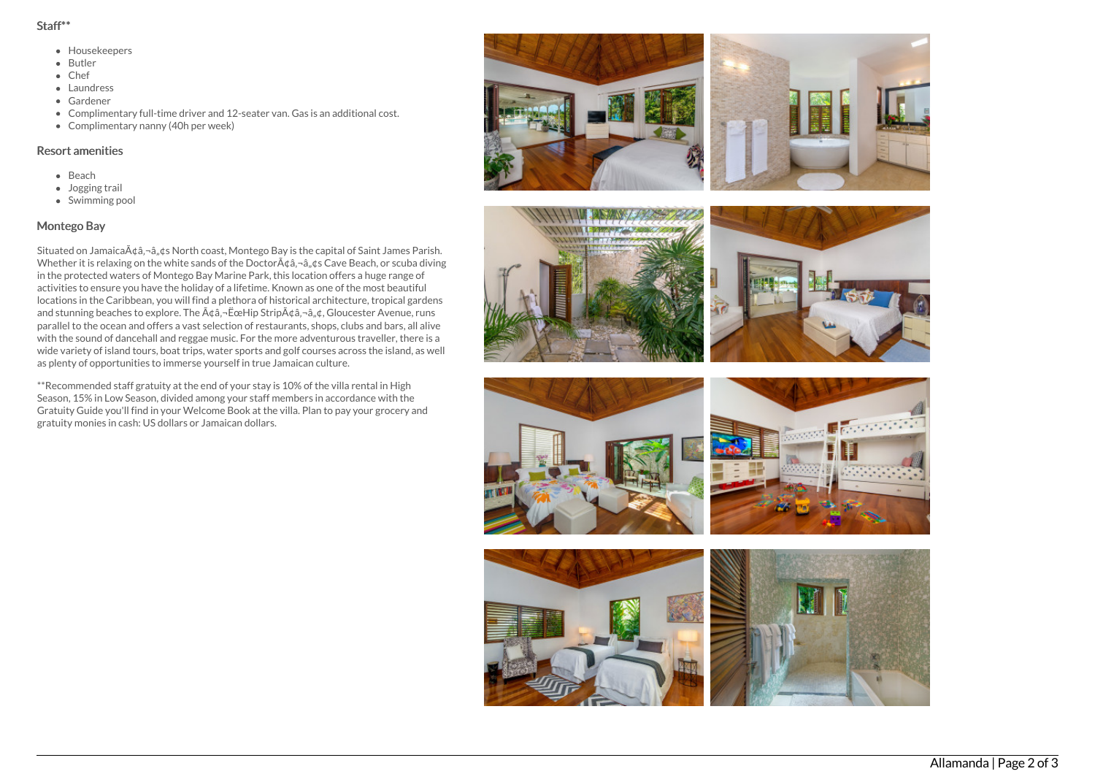#### Staff\*\*

- Housekeepers
- Butler
- Chef
- **a** Laundress
- Gardener
- Complimentary full-time driver and 12-seater van. Gas is an additional cost.
- Complimentary nanny (40h per week)

# Resort amenities

- Beach
- Jogging trail
- Swimming pool

# Montego Bay

Situated on Jamaica $\tilde{A}$ ¢â,¬â,,¢s North coast, Montego Bay is the capital of Saint James Parish. Whether it is relaxing on the white sands of the Doctor $\tilde{A}$  $\hat{\alpha}$ , $\tilde{\alpha}$ , $\hat{\alpha}$ ,  $\hat{\alpha}$ s Cave Beach, or scuba diving in the protected waters of Montego Bay Marine Park, this location offers a huge range of activities to ensure you have the holiday of a lifetime. Known as one of the most beautiful locations in the Caribbean, you will find a plethora of historical architecture, tropical gardens and stunning beaches to explore. The  $\tilde{A}$ ¢â, - ËœHip Strip $\tilde{A}$ ¢â, -â, ¢, Gloucester Avenue, runs parallel to the ocean and offers a vast selection of restaurants, shops, clubs and bars, all alive with the sound of dancehall and reggae music. For the more adventurous traveller, there is a wide variety of island tours, boat trips, water sports and golf courses across the island, as well as plenty of opportunities to immerse yourself in true Jamaican culture.

\*\*Recommended staff gratuity at the end of your stay is 10% of the villa rental in High Season, 15% in Low Season, divided among your staff members in accordance with the Gratuity Guide you'll find in your Welcome Book at the villa. Plan to pay your grocery and gratuity monies in cash: US dollars or Jamaican dollars.







**CONTRACTOR**